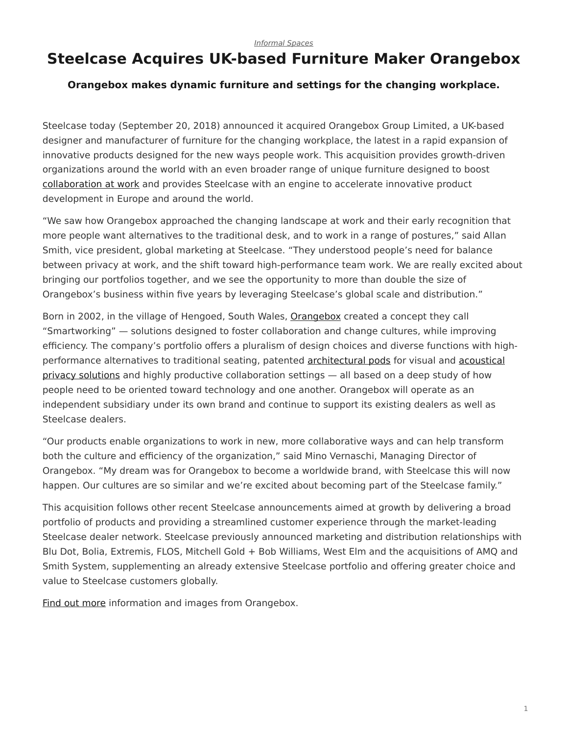## <span id="page-0-0"></span>**Steelcase Acquires UK-based Furniture Maker Orangebox**

## **Orangebox makes dynamic furniture and settings for the changing workplace.**

Steelcase today (September 20, 2018) announced it acquired Orangebox Group Limited, a UK-based designer and manufacturer of furniture for the changing workplace, the latest in a rapid expansion of innovative products designed for the new ways people work. This acquisition provides growth-driven organizations around the world with an even broader range of unique furniture designed to boost [collaboration at work](https://www.steelcase.com/research/articles/topics/collaboration-privacy/finding-balance-improving-collaboration-rethinking-privacy/) and provides Steelcase with an engine to accelerate innovative product development in Europe and around the world.

"We saw how Orangebox approached the changing landscape at work and their early recognition that more people want alternatives to the traditional desk, and to work in a range of postures," said Allan Smith, vice president, global marketing at Steelcase. "They understood people's need for balance between privacy at work, and the shift toward high-performance team work. We are really excited about bringing our portfolios together, and we see the opportunity to more than double the size of Orangebox's business within five years by leveraging Steelcase's global scale and distribution."

Born in 2002, in the village of Hengoed, South Wales, [Orangebox](https://www.orangebox.com/) created a concept they call "Smartworking" — solutions designed to foster collaboration and change cultures, while improving efficiency. The company's portfolio offers a pluralism of design choices and diverse functions with highperformance alternatives to traditional seating, patented [architectural pods](https://www.steelcase.com/products/walls-work-walls/) for visual and [acoustical](https://www.steelcase.com/products/acoustic-solutions/) [privacy solutions](https://www.steelcase.com/products/acoustic-solutions/) and highly productive collaboration settings — all based on a deep study of how people need to be oriented toward technology and one another. Orangebox will operate as an independent subsidiary under its own brand and continue to support its existing dealers as well as Steelcase dealers.

"Our products enable organizations to work in new, more collaborative ways and can help transform both the culture and efficiency of the organization," said Mino Vernaschi, Managing Director of Orangebox. "My dream was for Orangebox to become a worldwide brand, with Steelcase this will now happen. Our cultures are so similar and we're excited about becoming part of the Steelcase family."

This acquisition follows other recent Steelcase announcements aimed at growth by delivering a broad portfolio of products and providing a streamlined customer experience through the market-leading Steelcase dealer network. Steelcase previously announced marketing and distribution relationships with Blu Dot, Bolia, Extremis, FLOS, Mitchell Gold + Bob Williams, West Elm and the acquisitions of AMQ and Smith System, supplementing an already extensive Steelcase portfolio and offering greater choice and value to Steelcase customers globally.

[Find out more](https://www.steelcase.com/discover/brands/orangebox/) information and images from Orangebox.